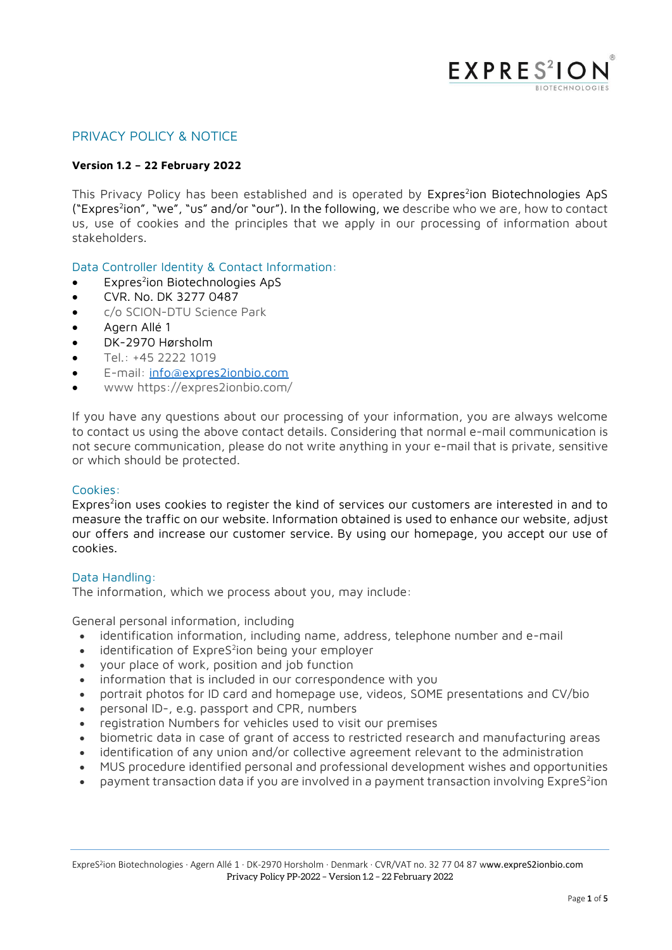

## PRIVACY POLICY & NOTICE

### **Version 1.2 – 22 February 2022**

This Privacy Policy has been established and is operated by Expres<sup>2</sup>ion Biotechnologies ApS ("Expres<sup>2</sup>ion", "we", "us" and/or "our"). In the following, we describe who we are, how to contact us, use of cookies and the principles that we apply in our processing of information about stakeholders.

### Data Controller Identity & Contact Information:

- Expres<sup>2</sup>ion Biotechnologies ApS
- CVR. No. DK 3277 0487
- c/o SCION-DTU Science Park
- Agern Allé 1
- DK-2970 Hørsholm
- Tel.: +45 2222 1019
- E-mail: [info@expres2ionbio.com](mailto:info@expres2ionbio.com)
- www https://expres2ionbio.com/

If you have any questions about our processing of your information, you are always welcome to contact us using the above contact details. Considering that normal e-mail communication is not secure communication, please do not write anything in your e-mail that is private, sensitive or which should be protected.

### Cookies:

Expres<sup>2</sup>ion uses cookies to register the kind of services our customers are interested in and to measure the traffic on our website. Information obtained is used to enhance our website, adjust our offers and increase our customer service. By using our homepage, you accept our use of cookies.

### Data Handling:

The information, which we process about you, may include:

General personal information, including

- identification information, including name, address, telephone number and e-mail
- identification of ExpreS<sup>2</sup>ion being your employer
- your place of work, position and job function
- information that is included in our correspondence with you
- portrait photos for ID card and homepage use, videos, SOME presentations and CV/bio
- personal ID-, e.g. passport and CPR, numbers
- registration Numbers for vehicles used to visit our premises
- biometric data in case of grant of access to restricted research and manufacturing areas
- identification of any union and/or collective agreement relevant to the administration
- MUS procedure identified personal and professional development wishes and opportunities
- $\bullet$  payment transaction data if you are involved in a payment transaction involving ExpreS<sup>2</sup>ion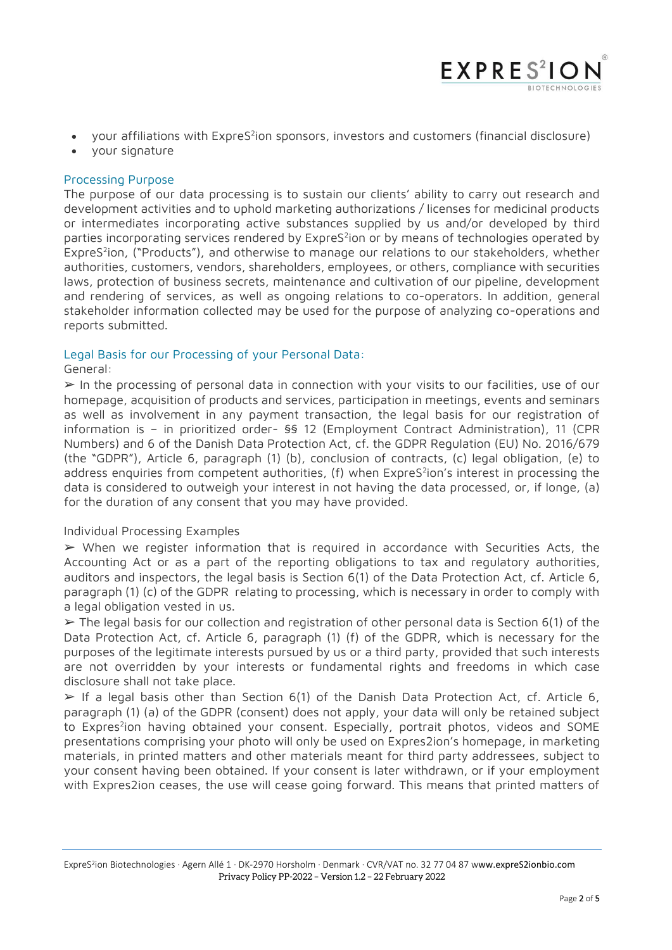• your affiliations with ExpreS<sup>2</sup>ion sponsors, investors and customers (financial disclosure)

 $EXPRES<sup>2</sup>$ 

• your signature

## Processing Purpose

The purpose of our data processing is to sustain our clients' ability to carry out research and development activities and to uphold marketing authorizations / licenses for medicinal products or intermediates incorporating active substances supplied by us and/or developed by third parties incorporating services rendered by ExpreS<sup>2</sup>ion or by means of technologies operated by ExpreS<sup>2</sup>ion, ("Products"), and otherwise to manage our relations to our stakeholders, whether authorities, customers, vendors, shareholders, employees, or others, compliance with securities laws, protection of business secrets, maintenance and cultivation of our pipeline, development and rendering of services, as well as ongoing relations to co-operators. In addition, general stakeholder information collected may be used for the purpose of analyzing co-operations and reports submitted.

### Legal Basis for our Processing of your Personal Data:

### General:

 $\triangleright$  In the processing of personal data in connection with your visits to our facilities, use of our homepage, acquisition of products and services, participation in meetings, events and seminars as well as involvement in any payment transaction, the legal basis for our registration of information is – in prioritized order- §§ 12 (Employment Contract Administration), 11 (CPR Numbers) and 6 of the Danish Data Protection Act, cf. the GDPR Regulation (EU) No. 2016/679 (the "GDPR"), Article 6, paragraph (1) (b), conclusion of contracts, (c) legal obligation, (e) to address enquiries from competent authorities, (f) when ExpreS<sup>2</sup>ion's interest in processing the data is considered to outweigh your interest in not having the data processed, or, if longe, (a) for the duration of any consent that you may have provided.

### Individual Processing Examples

➢ When we register information that is required in accordance with Securities Acts, the Accounting Act or as a part of the reporting obligations to tax and regulatory authorities, auditors and inspectors, the legal basis is Section 6(1) of the Data Protection Act, cf. Article 6, paragraph (1) (c) of the GDPR relating to processing, which is necessary in order to comply with a legal obligation vested in us.

 $\triangleright$  The legal basis for our collection and registration of other personal data is Section 6(1) of the Data Protection Act, cf. Article 6, paragraph (1) (f) of the GDPR, which is necessary for the purposes of the legitimate interests pursued by us or a third party, provided that such interests are not overridden by your interests or fundamental rights and freedoms in which case disclosure shall not take place.

 $\triangleright$  If a legal basis other than Section 6(1) of the Danish Data Protection Act, cf. Article 6, paragraph (1) (a) of the GDPR (consent) does not apply, your data will only be retained subject to Expres<sup>2</sup>ion having obtained your consent. Especially, portrait photos, videos and SOME presentations comprising your photo will only be used on Expres2ion's homepage, in marketing materials, in printed matters and other materials meant for third party addressees, subject to your consent having been obtained. If your consent is later withdrawn, or if your employment with Expres2ion ceases, the use will cease going forward. This means that printed matters of

ExpreS<sup>2</sup>ion Biotechnologies · Agern Allé 1 · DK-2970 Horsholm · Denmark · CVR/VAT no. 32 77 04 87 www.expreS2ionbio.com Privacy Policy PP-2022 – Version 1.2 – 22 February 2022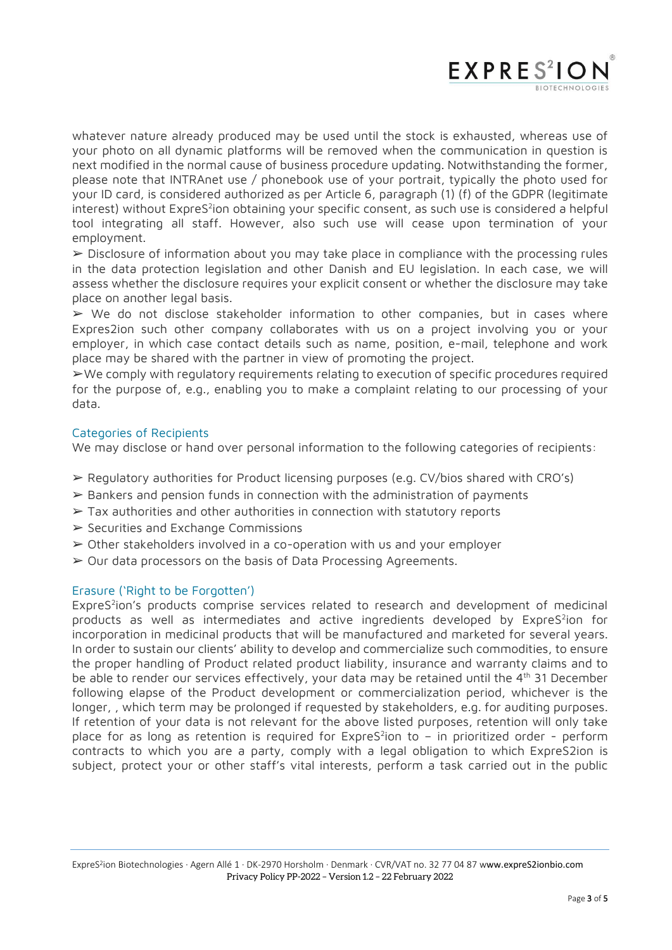

whatever nature already produced may be used until the stock is exhausted, whereas use of your photo on all dynamic platforms will be removed when the communication in question is next modified in the normal cause of business procedure updating. Notwithstanding the former, please note that INTRAnet use / phonebook use of your portrait, typically the photo used for your ID card, is considered authorized as per Article 6, paragraph (1) (f) of the GDPR (legitimate interest) without ExpreS $^2$ ion obtaining your specific consent, as such use is considered a helpful tool integrating all staff. However, also such use will cease upon termination of your employment.

 $\triangleright$  Disclosure of information about you may take place in compliance with the processing rules in the data protection legislation and other Danish and EU legislation. In each case, we will assess whether the disclosure requires your explicit consent or whether the disclosure may take place on another legal basis.

➢ We do not disclose stakeholder information to other companies, but in cases where Expres2ion such other company collaborates with us on a project involving you or your employer, in which case contact details such as name, position, e-mail, telephone and work place may be shared with the partner in view of promoting the project.

➢We comply with regulatory requirements relating to execution of specific procedures required for the purpose of, e.g., enabling you to make a complaint relating to our processing of your data.

### Categories of Recipients

We may disclose or hand over personal information to the following categories of recipients:

- ➢ Regulatory authorities for Product licensing purposes (e.g. CV/bios shared with CRO's)
- ➢ Bankers and pension funds in connection with the administration of payments
- ➢ Tax authorities and other authorities in connection with statutory reports
- ➢ Securities and Exchange Commissions
- ➢ Other stakeholders involved in a co-operation with us and your employer
- ➢ Our data processors on the basis of Data Processing Agreements.

#### Erasure ('Right to be Forgotten')

ExpreS<sup>2</sup>ion's products comprise services related to research and development of medicinal products as well as intermediates and active ingredients developed by ExpreS<sup>2</sup>ion for incorporation in medicinal products that will be manufactured and marketed for several years. In order to sustain our clients' ability to develop and commercialize such commodities, to ensure the proper handling of Product related product liability, insurance and warranty claims and to be able to render our services effectively, your data may be retained until the 4<sup>th</sup> 31 December following elapse of the Product development or commercialization period, whichever is the longer, , which term may be prolonged if requested by stakeholders, e.g. for auditing purposes. If retention of your data is not relevant for the above listed purposes, retention will only take place for as long as retention is required for ExpreS<sup>2</sup>ion to - in prioritized order - perform contracts to which you are a party, comply with a legal obligation to which ExpreS2ion is subject, protect your or other staff's vital interests, perform a task carried out in the public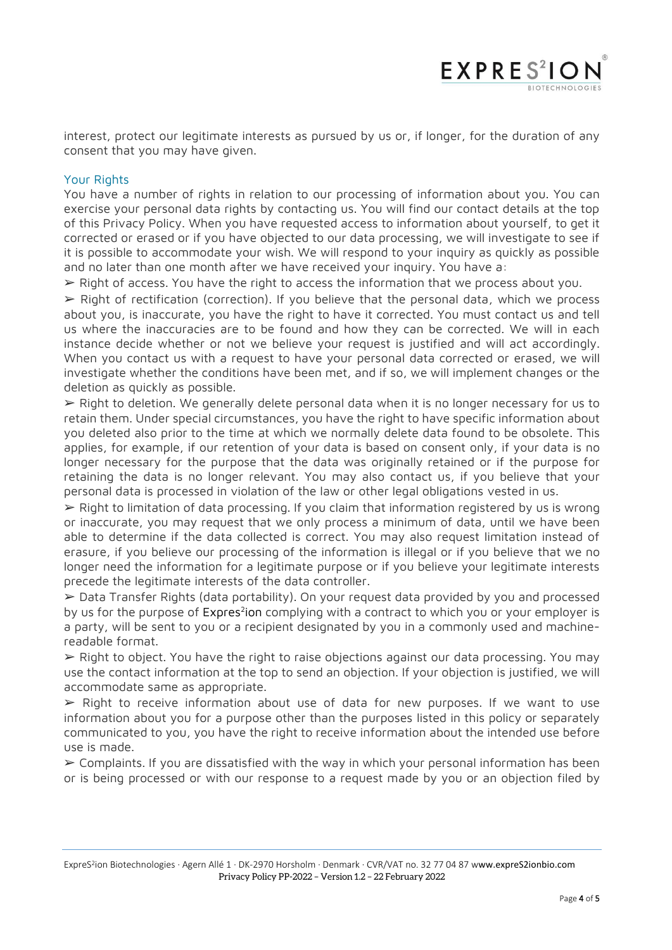interest, protect our legitimate interests as pursued by us or, if longer, for the duration of any consent that you may have given.

**EXPRES<sup>2</sup>IC** 

# Your Rights

You have a number of rights in relation to our processing of information about you. You can exercise your personal data rights by contacting us. You will find our contact details at the top of this Privacy Policy. When you have requested access to information about yourself, to get it corrected or erased or if you have objected to our data processing, we will investigate to see if it is possible to accommodate your wish. We will respond to your inquiry as quickly as possible and no later than one month after we have received your inquiry. You have a:

 $\triangleright$  Right of access. You have the right to access the information that we process about you.

➢ Right of rectification (correction). If you believe that the personal data, which we process about you, is inaccurate, you have the right to have it corrected. You must contact us and tell us where the inaccuracies are to be found and how they can be corrected. We will in each instance decide whether or not we believe your request is justified and will act accordingly. When you contact us with a request to have your personal data corrected or erased, we will investigate whether the conditions have been met, and if so, we will implement changes or the deletion as quickly as possible.

➢ Right to deletion. We generally delete personal data when it is no longer necessary for us to retain them. Under special circumstances, you have the right to have specific information about you deleted also prior to the time at which we normally delete data found to be obsolete. This applies, for example, if our retention of your data is based on consent only, if your data is no longer necessary for the purpose that the data was originally retained or if the purpose for retaining the data is no longer relevant. You may also contact us, if you believe that your personal data is processed in violation of the law or other legal obligations vested in us.

➢ Right to limitation of data processing. If you claim that information registered by us is wrong or inaccurate, you may request that we only process a minimum of data, until we have been able to determine if the data collected is correct. You may also request limitation instead of erasure, if you believe our processing of the information is illegal or if you believe that we no longer need the information for a legitimate purpose or if you believe your legitimate interests precede the legitimate interests of the data controller.

➢ Data Transfer Rights (data portability). On your request data provided by you and processed by us for the purpose of Expres<sup>2</sup>ion complying with a contract to which you or your employer is a party, will be sent to you or a recipient designated by you in a commonly used and machinereadable format.

 $\triangleright$  Right to object. You have the right to raise objections against our data processing. You may use the contact information at the top to send an objection. If your objection is justified, we will accommodate same as appropriate.

 $\triangleright$  Right to receive information about use of data for new purposes. If we want to use information about you for a purpose other than the purposes listed in this policy or separately communicated to you, you have the right to receive information about the intended use before use is made.

 $\geq$  Complaints. If you are dissatisfied with the way in which your personal information has been or is being processed or with our response to a request made by you or an objection filed by

ExpreS<sup>2</sup>ion Biotechnologies · Agern Allé 1 · DK-2970 Horsholm · Denmark · CVR/VAT no. 32 77 04 87 www.expreS2ionbio.com Privacy Policy PP-2022 – Version 1.2 – 22 February 2022